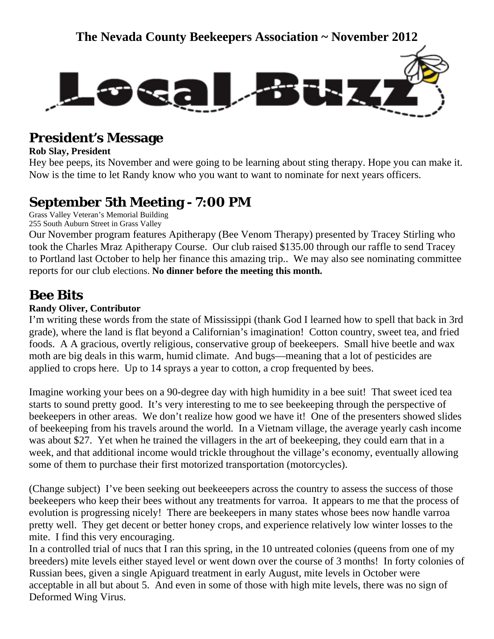

## **President's Message**

#### **Rob Slay, President**

Hey bee peeps, its November and were going to be learning about sting therapy. Hope you can make it. Now is the time to let Randy know who you want to want to nominate for next years officers.

# **September 5th Meeting - 7:00 PM**

Grass Valley Veteran's Memorial Building 255 South Auburn Street in Grass Valley

Our November program features Apitherapy (Bee Venom Therapy) presented by Tracey Stirling who took the Charles Mraz Apitherapy Course. Our club raised \$135.00 through our raffle to send Tracey to Portland last October to help her finance this amazing trip.. We may also see nominating committee reports for our club elections. **No dinner before the meeting this month.** 

# **Bee Bits**

#### **Randy Oliver, Contributor**

I'm writing these words from the state of Mississippi (thank God I learned how to spell that back in 3rd grade), where the land is flat beyond a Californian's imagination! Cotton country, sweet tea, and fried foods. A A gracious, overtly religious, conservative group of beekeepers. Small hive beetle and wax moth are big deals in this warm, humid climate. And bugs—meaning that a lot of pesticides are applied to crops here. Up to 14 sprays a year to cotton, a crop frequented by bees.

Imagine working your bees on a 90-degree day with high humidity in a bee suit! That sweet iced tea starts to sound pretty good. It's very interesting to me to see beekeeping through the perspective of beekeepers in other areas. We don't realize how good we have it! One of the presenters showed slides of beekeeping from his travels around the world. In a Vietnam village, the average yearly cash income was about \$27. Yet when he trained the villagers in the art of beekeeping, they could earn that in a week, and that additional income would trickle throughout the village's economy, eventually allowing some of them to purchase their first motorized transportation (motorcycles).

(Change subject) I've been seeking out beekeeepers across the country to assess the success of those beekeepers who keep their bees without any treatments for varroa. It appears to me that the process of evolution is progressing nicely! There are beekeepers in many states whose bees now handle varroa pretty well. They get decent or better honey crops, and experience relatively low winter losses to the mite. I find this very encouraging.

In a controlled trial of nucs that I ran this spring, in the 10 untreated colonies (queens from one of my breeders) mite levels either stayed level or went down over the course of 3 months! In forty colonies of Russian bees, given a single Apiguard treatment in early August, mite levels in October were acceptable in all but about 5. And even in some of those with high mite levels, there was no sign of Deformed Wing Virus.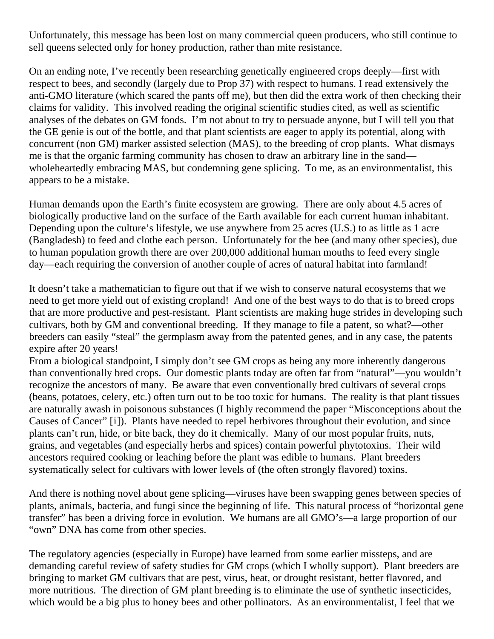Unfortunately, this message has been lost on many commercial queen producers, who still continue to sell queens selected only for honey production, rather than mite resistance.

On an ending note, I've recently been researching genetically engineered crops deeply—first with respect to bees, and secondly (largely due to Prop 37) with respect to humans. I read extensively the anti-GMO literature (which scared the pants off me), but then did the extra work of then checking their claims for validity. This involved reading the original scientific studies cited, as well as scientific analyses of the debates on GM foods. I'm not about to try to persuade anyone, but I will tell you that the GE genie is out of the bottle, and that plant scientists are eager to apply its potential, along with concurrent (non GM) marker assisted selection (MAS), to the breeding of crop plants. What dismays me is that the organic farming community has chosen to draw an arbitrary line in the sand wholeheartedly embracing MAS, but condemning gene splicing. To me, as an environmentalist, this appears to be a mistake.

Human demands upon the Earth's finite ecosystem are growing. There are only about 4.5 acres of biologically productive land on the surface of the Earth available for each current human inhabitant. Depending upon the culture's lifestyle, we use anywhere from 25 acres (U.S.) to as little as 1 acre (Bangladesh) to feed and clothe each person. Unfortunately for the bee (and many other species), due to human population growth there are over 200,000 additional human mouths to feed every single day—each requiring the conversion of another couple of acres of natural habitat into farmland!

It doesn't take a mathematician to figure out that if we wish to conserve natural ecosystems that we need to get more yield out of existing cropland! And one of the best ways to do that is to breed crops that are more productive and pest-resistant. Plant scientists are making huge strides in developing such cultivars, both by GM and conventional breeding. If they manage to file a patent, so what?—other breeders can easily "steal" the germplasm away from the patented genes, and in any case, the patents expire after 20 years!

From a biological standpoint, I simply don't see GM crops as being any more inherently dangerous than conventionally bred crops. Our domestic plants today are often far from "natural"—you wouldn't recognize the ancestors of many. Be aware that even conventionally bred cultivars of several crops (beans, potatoes, celery, etc.) often turn out to be too toxic for humans. The reality is that plant tissues are naturally awash in poisonous substances (I highly recommend the paper "Misconceptions about the Causes of Cancer" [[i](#page--1-0)]). Plants have needed to repel herbivores throughout their evolution, and since plants can't run, hide, or bite back, they do it chemically. Many of our most popular fruits, nuts, grains, and vegetables (and especially herbs and spices) contain powerful phytotoxins. Their wild ancestors required cooking or leaching before the plant was edible to humans. Plant breeders systematically select for cultivars with lower levels of (the often strongly flavored) toxins.

And there is nothing novel about gene splicing—viruses have been swapping genes between species of plants, animals, bacteria, and fungi since the beginning of life. This natural process of "horizontal gene transfer" has been a driving force in evolution. We humans are all GMO's—a large proportion of our "own" DNA has come from other species.

The regulatory agencies (especially in Europe) have learned from some earlier missteps, and are demanding careful review of safety studies for GM crops (which I wholly support). Plant breeders are bringing to market GM cultivars that are pest, virus, heat, or drought resistant, better flavored, and more nutritious. The direction of GM plant breeding is to eliminate the use of synthetic insecticides, which would be a big plus to honey bees and other pollinators. As an environmentalist, I feel that we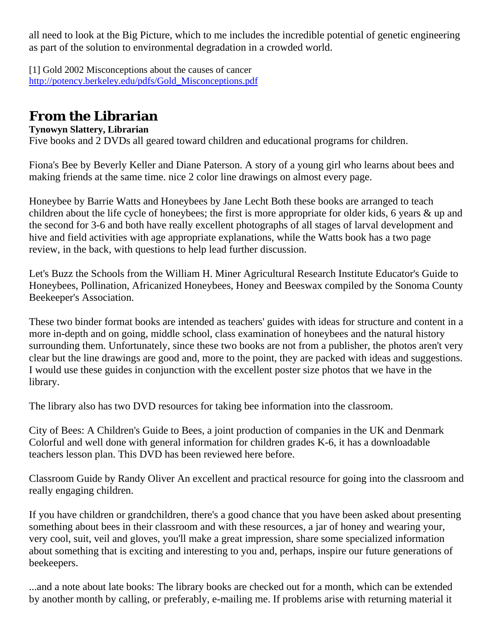all need to look at the Big Picture, which to me includes the incredible potential of genetic engineering as part of the solution to environmental degradation in a crowded world.

[1] Gold 2002 Misconceptions about the causes of cancer [http://potency.berkeley.edu/pdfs/Gold\\_Misconceptions.pdf](http://potency.berkeley.edu/pdfs/Gold_Misconceptions.pdf) 

# **From the Librarian**

**Tynowyn Slattery, Librarian**  Five books and 2 DVDs all geared toward children and educational programs for children.

Fiona's Bee by Beverly Keller and Diane Paterson. A story of a young girl who learns about bees and making friends at the same time. nice 2 color line drawings on almost every page.

Honeybee by Barrie Watts and Honeybees by Jane Lecht Both these books are arranged to teach children about the life cycle of honeybees; the first is more appropriate for older kids, 6 years & up and the second for 3-6 and both have really excellent photographs of all stages of larval development and hive and field activities with age appropriate explanations, while the Watts book has a two page review, in the back, with questions to help lead further discussion.

Let's Buzz the Schools from the William H. Miner Agricultural Research Institute Educator's Guide to Honeybees, Pollination, Africanized Honeybees, Honey and Beeswax compiled by the Sonoma County Beekeeper's Association.

These two binder format books are intended as teachers' guides with ideas for structure and content in a more in-depth and on going, middle school, class examination of honeybees and the natural history surrounding them. Unfortunately, since these two books are not from a publisher, the photos aren't very clear but the line drawings are good and, more to the point, they are packed with ideas and suggestions. I would use these guides in conjunction with the excellent poster size photos that we have in the library.

The library also has two DVD resources for taking bee information into the classroom.

City of Bees: A Children's Guide to Bees, a joint production of companies in the UK and Denmark Colorful and well done with general information for children grades K-6, it has a downloadable teachers lesson plan. This DVD has been reviewed here before.

Classroom Guide by Randy Oliver An excellent and practical resource for going into the classroom and really engaging children.

If you have children or grandchildren, there's a good chance that you have been asked about presenting something about bees in their classroom and with these resources, a jar of honey and wearing your, very cool, suit, veil and gloves, you'll make a great impression, share some specialized information about something that is exciting and interesting to you and, perhaps, inspire our future generations of beekeepers.

...and a note about late books: The library books are checked out for a month, which can be extended by another month by calling, or preferably, e-mailing me. If problems arise with returning material it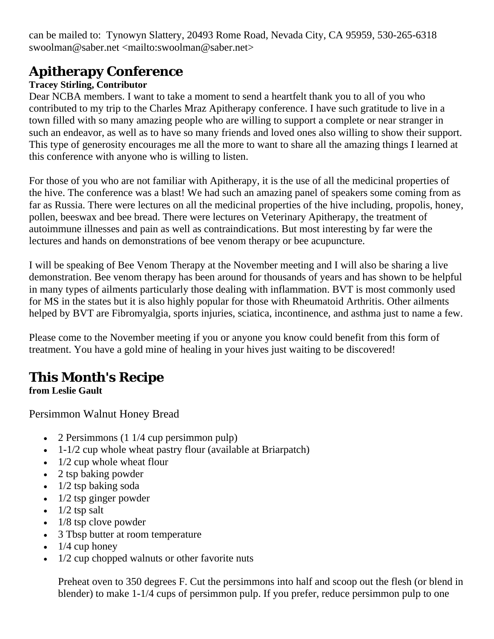can be mailed to: Tynowyn Slattery, 20493 Rome Road, Nevada City, CA 95959, 530-265-6318 swoolman@saber.net <mailto:swoolman@saber.net>

# **Apitherapy Conference**

#### **Tracey Stirling, Contributor**

Dear NCBA members. I want to take a moment to send a heartfelt thank you to all of you who contributed to my trip to the Charles Mraz Apitherapy conference. I have such gratitude to live in a town filled with so many amazing people who are willing to support a complete or near stranger in such an endeavor, as well as to have so many friends and loved ones also willing to show their support. This type of generosity encourages me all the more to want to share all the amazing things I learned at this conference with anyone who is willing to listen.

For those of you who are not familiar with Apitherapy, it is the use of all the medicinal properties of the hive. The conference was a blast! We had such an amazing panel of speakers some coming from as far as Russia. There were lectures on all the medicinal properties of the hive including, propolis, honey, pollen, beeswax and bee bread. There were lectures on Veterinary Apitherapy, the treatment of autoimmune illnesses and pain as well as contraindications. But most interesting by far were the lectures and hands on demonstrations of bee venom therapy or bee acupuncture.

I will be speaking of Bee Venom Therapy at the November meeting and I will also be sharing a live demonstration. Bee venom therapy has been around for thousands of years and has shown to be helpful in many types of ailments particularly those dealing with inflammation. BVT is most commonly used for MS in the states but it is also highly popular for those with Rheumatoid Arthritis. Other ailments helped by BVT are Fibromyalgia, sports injuries, sciatica, incontinence, and asthma just to name a few.

Please come to the November meeting if you or anyone you know could benefit from this form of treatment. You have a gold mine of healing in your hives just waiting to be discovered!

# **This Month's Recipe**

**from Leslie Gault** 

Persimmon Walnut Honey Bread

- 2 Persimmons (1  $1/4$  cup persimmon pulp)
- 1-1/2 cup whole wheat pastry flour (available at Briarpatch)
- $\cdot$  1/2 cup whole wheat flour
- 2 tsp baking powder
- 1/2 tsp baking soda
- $\cdot$  1/2 tsp ginger powder
- $\bullet$  1/2 tsp salt
- $\cdot$  1/8 tsp clove powder
- 3 Tbsp butter at room temperature
- $\bullet$  1/4 cup honey
- 1/2 cup chopped walnuts or other favorite nuts

Preheat oven to 350 degrees F. Cut the persimmons into half and scoop out the flesh (or blend in blender) to make 1-1/4 cups of persimmon pulp. If you prefer, reduce persimmon pulp to one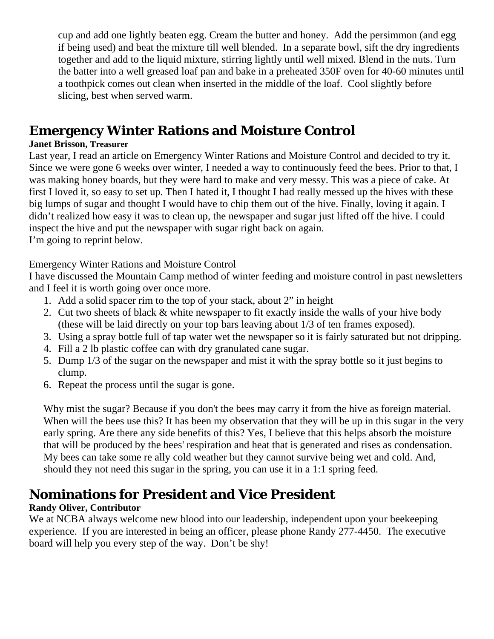cup and add one lightly beaten egg. Cream the butter and honey. Add the persimmon (and egg if being used) and beat the mixture till well blended. In a separate bowl, sift the dry ingredients together and add to the liquid mixture, stirring lightly until well mixed. Blend in the nuts. Turn the batter into a well greased loaf pan and bake in a preheated 350F oven for 40-60 minutes until a toothpick comes out clean when inserted in the middle of the loaf. Cool slightly before slicing, best when served warm.

# **Emergency Winter Rations and Moisture Control**

#### **Janet Brisson, Treasurer**

Last year, I read an article on Emergency Winter Rations and Moisture Control and decided to try it. Since we were gone 6 weeks over winter, I needed a way to continuously feed the bees. Prior to that, I was making honey boards, but they were hard to make and very messy. This was a piece of cake. At first I loved it, so easy to set up. Then I hated it, I thought I had really messed up the hives with these big lumps of sugar and thought I would have to chip them out of the hive. Finally, loving it again. I didn't realized how easy it was to clean up, the newspaper and sugar just lifted off the hive. I could inspect the hive and put the newspaper with sugar right back on again. I'm going to reprint below.

Emergency Winter Rations and Moisture Control

I have discussed the Mountain Camp method of winter feeding and moisture control in past newsletters and I feel it is worth going over once more.

- 1. Add a solid spacer rim to the top of your stack, about 2" in height
- 2. Cut two sheets of black & white newspaper to fit exactly inside the walls of your hive body (these will be laid directly on your top bars leaving about 1/3 of ten frames exposed).
- 3. Using a spray bottle full of tap water wet the newspaper so it is fairly saturated but not dripping.
- 4. Fill a 2 lb plastic coffee can with dry granulated cane sugar.
- 5. Dump 1/3 of the sugar on the newspaper and mist it with the spray bottle so it just begins to clump.
- 6. Repeat the process until the sugar is gone.

Why mist the sugar? Because if you don't the bees may carry it from the hive as foreign material. When will the bees use this? It has been my observation that they will be up in this sugar in the very early spring. Are there any side benefits of this? Yes, I believe that this helps absorb the moisture that will be produced by the bees' respiration and heat that is generated and rises as condensation. My bees can take some re ally cold weather but they cannot survive being wet and cold. And, should they not need this sugar in the spring, you can use it in a 1:1 spring feed.

# **Nominations for President and Vice President**

#### **Randy Oliver, Contributor**

We at NCBA always welcome new blood into our leadership, independent upon your beekeeping experience. If you are interested in being an officer, please phone Randy 277-4450. The executive board will help you every step of the way. Don't be shy!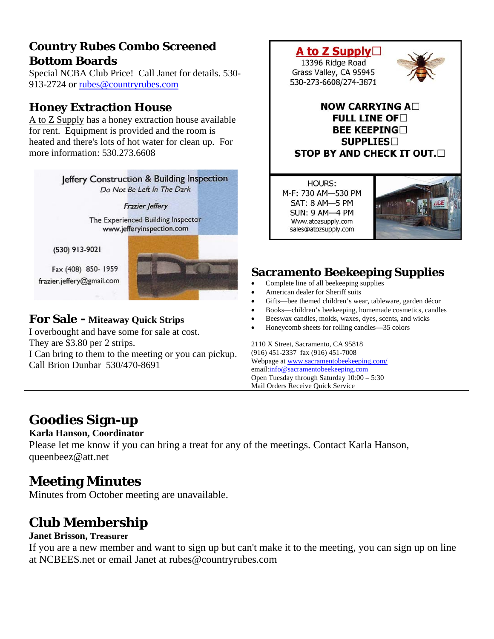## **Country Rubes Combo Screened Bottom Boards**

Special NCBA Club Price! Call Janet [f](mailto:rubes@countryrubes.com)or details. 530- 913-2724 or [rubes@countryrubes.com](mailto:rubes@countryrubes.com)

#### **Honey Extraction House**

A to Z Supply has a honey extraction house available for rent. Equipment is provided and the room is heated and there's lots of hot water for clean up. For more information: 530.273.6608



I overbought and have some for sale at cost. They are \$3.80 per 2 strips. I Can bring to them to the meeting or you can pickup. Call Brion Dunbar 530/470-8691



## **Sacramento Beekeeping Supplies**

- Complete line of all beekeeping supplies
- American dealer for Sheriff suits
- Gifts—bee themed children's wear, tableware, garden décor
- Books—children's beekeeping, homemade cosmetics, candles
- Beeswax candles, molds, waxes, dyes, scents, and wicks
- Honeycomb sheets for rolling candles—35 colors

2110 X Street, Sacramento, CA 95818 (916) 451-2337 fax (916) 451-7008 Webpage at [www.sacramentobeekeeping.com/](http://www.sacramentobeekeeping.com/) email:[info@sacramentobeekeeping.com](mailto:%20info@sacramentobeekeeping.com) Open Tuesday through Saturday 10:00 – 5:30 Mail Orders Receive Quick Service

# **Goodies Sign-up**

#### **Karla Hanson, Coordinator**

Please let me know if you can bring a treat for any of the meetings. Contact Karla Hanson, [queenbeez@att.net](mailto:queenbeez@att.net) 

# **Meeting Minutes**

Minutes from October meeting are unavailable.

# **Club Membership**

#### **Janet Brisson, Treasurer**

If you are a new member and want to sign up but can't make it to the meeting, you can sign up on line at NCBEES.net or email Janet at [rubes@countryrubes.com](mailto:rubes@countryrubes.com)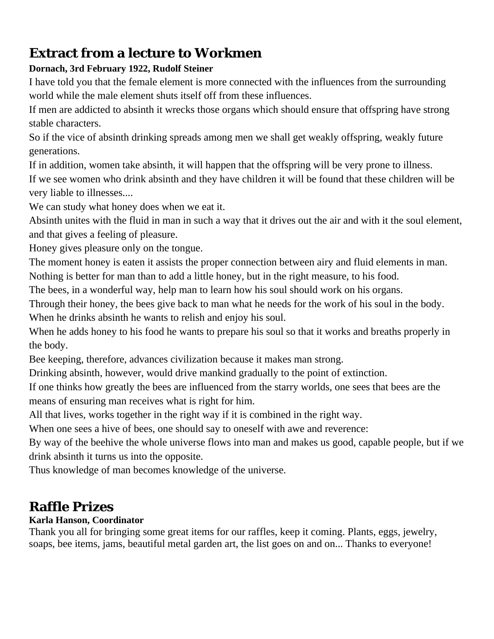# **Extract from a lecture to Workmen**

### **Dornach, 3rd February 1922, Rudolf Steiner**

I have told you that the female element is more connected with the influences from the surrounding world while the male element shuts itself off from these influences.

If men are addicted to absinth it wrecks those organs which should ensure that offspring have strong stable characters.

So if the vice of absinth drinking spreads among men we shall get weakly offspring, weakly future generations.

If in addition, women take absinth, it will happen that the offspring will be very prone to illness. If we see women who drink absinth and they have children it will be found that these children will be very liable to illnesses....

We can study what honey does when we eat it.

Absinth unites with the fluid in man in such a way that it drives out the air and with it the soul element, and that gives a feeling of pleasure.

Honey gives pleasure only on the tongue.

The moment honey is eaten it assists the proper connection between airy and fluid elements in man. Nothing is better for man than to add a little honey, but in the right measure, to his food.

The bees, in a wonderful way, help man to learn how his soul should work on his organs.

Through their honey, the bees give back to man what he needs for the work of his soul in the body. When he drinks absinth he wants to relish and enjoy his soul.

When he adds honey to his food he wants to prepare his soul so that it works and breaths properly in the body.

Bee keeping, therefore, advances civilization because it makes man strong.

Drinking absinth, however, would drive mankind gradually to the point of extinction.

If one thinks how greatly the bees are influenced from the starry worlds, one sees that bees are the means of ensuring man receives what is right for him.

All that lives, works together in the right way if it is combined in the right way.

When one sees a hive of bees, one should say to oneself with awe and reverence:

By way of the beehive the whole universe flows into man and makes us good, capable people, but if we drink absinth it turns us into the opposite.

Thus knowledge of man becomes knowledge of the universe.

# **Raffle Prizes**

## **Karla Hanson, Coordinator**

Thank you all for bringing some great items for our raffles, keep it coming. Plants, eggs, jewelry, soaps, bee items, jams, beautiful metal garden art, the list goes on and on... Thanks to everyone!